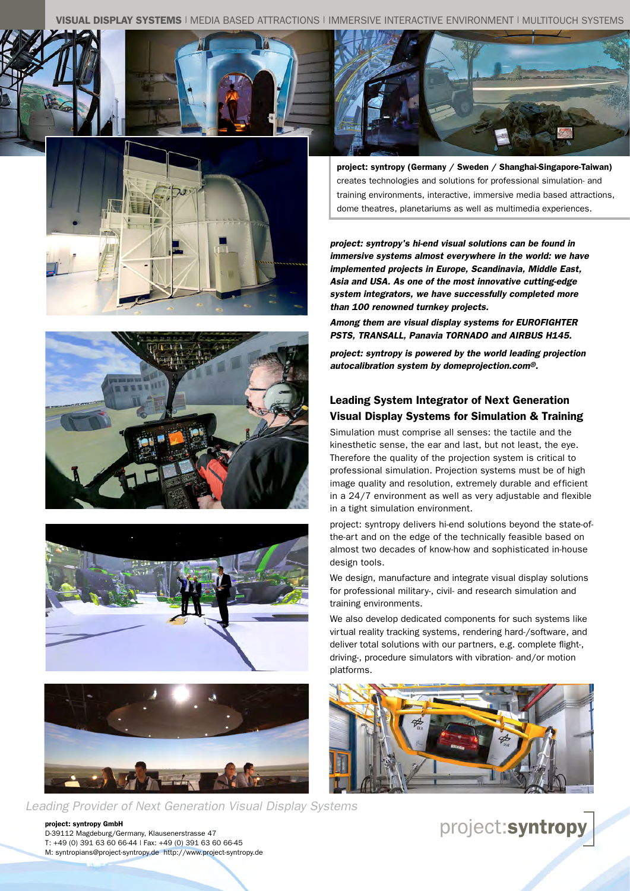AY SYSTEMS | MEDIA BASED ATTRACTIONS | IMMERSIVE INTERACTIVE ENVIRONMENT | MULTITOUCH SYSTEMS







project: syntropy (Germany / Sweden / Shanghai-Singapore-Taiwan) creates technologies and solutions for professional simulation- and training environments, interactive, immersive media based attractions, dome theatres, planetariums as well as multimedia experiences.

*project: syntropy's hi-end visual solutions can be found in immersive systems almost everywhere in the world: we have implemented projects in Europe, Scandinavia, Middle East, Asia and USA. As one of the most innovative cutting-edge system integrators, we have successfully completed more than 100 renowned turnkey projects.* 

*Among them are visual display systems for EUROFIGHTER PSTS, TRANSALL, Panavia TORNADO and AIRBUS H145.*

*project: syntropy is powered by the world leading projection autocalibration system by domeprojection.com®.* 

## Leading System Integrator of Next Generation Visual Display Systems for Simulation & Training

Simulation must comprise all senses: the tactile and the kinesthetic sense, the ear and last, but not least, the eye. Therefore the quality of the projection system is critical to professional simulation. Projection systems must be of high image quality and resolution, extremely durable and efficient in a 24/7 environment as well as very adjustable and flexible in a tight simulation environment.

project: syntropy delivers hi-end solutions beyond the state-ofthe-art and on the edge of the technically feasible based on almost two decades of know-how and sophisticated in-house design tools.

We design, manufacture and integrate visual display solutions for professional military-, civil- and research simulation and training environments.

We also develop dedicated components for such systems like virtual reality tracking systems, rendering hard-/software, and deliver total solutions with our partners, e.g. complete flight-, driving-, procedure simulators with vibration- and/or motion platforms.









*Leading Provider of Next Generation Visual Display Systems*

project: syntropy GmbH D-39112 Magdeburg/Germany, Klausenerstrasse 47 T: +49 (0) 391 63 60 66-44 | Fax: +49 (0) 391 63 60 66-45 M: syntropians@project-syntropy.de http://www.project-syntropy.de project:syntropy